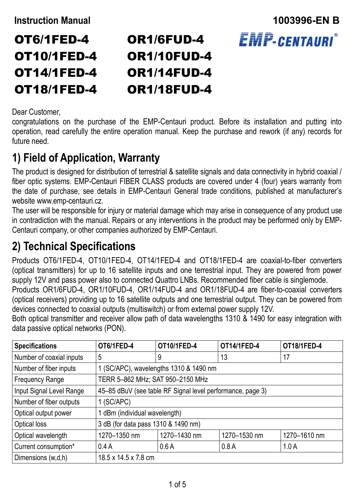OT6/1FED-4 OT10/1FED-4

OT14/1FED-4 OT18/1FED-4

### **Instruction Manual 1003996-EN B EMP-CENTAURI** OR1/6FUD-4 OR1/10FUD-4 OR1/14FUD-4 OR1/18FUD-4

#### Dear Customer,

congratulations on the purchase of the EMP-Centauri product. Before its installation and putting into operation, read carefully the entire operation manual. Keep the purchase and rework (if any) records for future need.

### **1) Field of Application, Warranty**

The product is designed for distribution of terrestrial & satellite signals and data connectivity in hybrid coaxial / fiber optic systems. EMP-Centauri FIBER CLASS products are covered under 4 (four) years warranty from the date of purchase, see details in EMP-Centauri General trade conditions, published at manufacturer's website www.emp-centauri.cz.

The user will be responsible for injury or material damage which may arise in consequence of any product use in contradiction with the manual. Repairs or any interventions in the product may be performed only by EMP-Centauri company, or other companies authorized by EMP-Centauri.

## **2) Technical Specifications**

Products OT6/1FED-4, OT10/1FED-4, OT14/1FED-4 and OT18/1FED-4 are coaxial-to-fiber converters (optical transmitters) for up to 16 satellite inputs and one terrestrial input. They are powered from power supply 12V and pass power also to connected Quattro LNBs. Recommended fiber cable is singlemode.

Products OR1/6FUD-4, OR1/10FUD-4, OR1/14FUD-4 and OR1/18FUD-4 are fiber-to-coaxial converters (optical receivers) providing up to 16 satellite outputs and one terrestrial output. They can be powered from devices connected to coaxial outputs (multiswitch) or from external power supply 12V.

Both optical transmitter and receiver allow path of data wavelengths 1310 & 1490 for easy integration with data passive optical networks (PON).

| <b>Specifications</b>    | OT6/1FED-4                                                 | OT10/1FED-4  | OT14/1FED-4  | OT18/1FED-4  |
|--------------------------|------------------------------------------------------------|--------------|--------------|--------------|
| Number of coaxial inputs | 5                                                          | 9            | 13           | 17           |
| Number of fiber inputs   | 1 (SC/APC), wavelengths 1310 & 1490 nm                     |              |              |              |
| <b>Frequency Range</b>   | TERR 5-862 MHz; SAT 950-2150 MHz                           |              |              |              |
| Input Signal Level Range | 45-85 dBuV (see table RF Signal level performance, page 3) |              |              |              |
| Number of fiber outputs  | 1 (SC/APC)                                                 |              |              |              |
| Optical output power     | 1 dBm (individual wavelength)                              |              |              |              |
| Optical loss             | 3 dB (for data pass 1310 & 1490 nm)                        |              |              |              |
| Optical wavelength       | 1270-1350 nm                                               | 1270-1430 nm | 1270-1530 nm | 1270-1610 nm |
| Current consumption*     | 0.4A                                                       | 0.6A         | 0.8A         | 1.0A         |
| Dimensions (w,d,h)       | 18.5 x 14.5 x 7.8 cm                                       |              |              |              |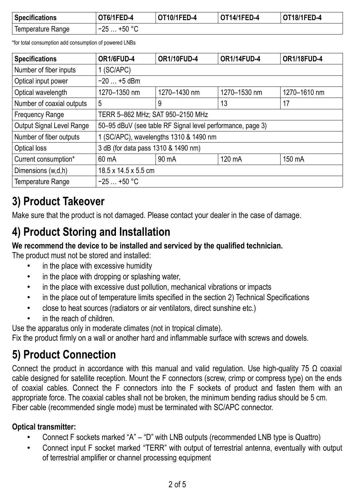| <b>Specifications</b>          | OT6/1FED-4        | OT10/1FED-4 | <b>OT14/1FED-4</b> | <b>OT18/1FED-4</b> |
|--------------------------------|-------------------|-------------|--------------------|--------------------|
| <sup>1</sup> Temperature Range | $-25$<br>∴ +50 °C |             |                    |                    |

\*for total consumption add consumption of powered LNBs

| <b>Specifications</b>     | OR1/6FUD-4                                                   | <b>OR1/10FUD-4</b> | <b>OR1/14FUD-4</b> | <b>OR1/18FUD-4</b> |  |  |
|---------------------------|--------------------------------------------------------------|--------------------|--------------------|--------------------|--|--|
| Number of fiber inputs    | 1 (SC/APC)                                                   |                    |                    |                    |  |  |
| Optical input power       | $-20$ $+5$ dBm                                               |                    |                    |                    |  |  |
| Optical wavelength        | 1270-1350 nm<br>1270-1430 nm<br>1270-1530 nm<br>1270-1610 nm |                    |                    |                    |  |  |
| Number of coaxial outputs | 5                                                            | 9                  | 13                 | 17                 |  |  |
| <b>Frequency Range</b>    | TERR 5-862 MHz; SAT 950-2150 MHz                             |                    |                    |                    |  |  |
| Output Signal Level Range | 50-95 dBuV (see table RF Signal level performance, page 3)   |                    |                    |                    |  |  |
| Number of fiber outputs   | 1 (SC/APC), wavelengths 1310 & 1490 nm                       |                    |                    |                    |  |  |
| Optical loss              | 3 dB (for data pass 1310 & 1490 nm)                          |                    |                    |                    |  |  |
| Current consumption*      | 60 mA                                                        | $90 \text{ mA}$    | 120 mA             | 150 mA             |  |  |
| Dimensions (w,d,h)        | $18.5 \times 14.5 \times 5.5$ cm                             |                    |                    |                    |  |  |
| Temperature Range         | $-25$ +50 °C                                                 |                    |                    |                    |  |  |

# **3) Product Takeover**

Make sure that the product is not damaged. Please contact your dealer in the case of damage.

# **4) Product Storing and Installation**

#### **We recommend the device to be installed and serviced by the qualified technician.**

The product must not be stored and installed:

- in the place with excessive humidity
- in the place with dropping or splashing water,
- in the place with excessive dust pollution, mechanical vibrations or impacts
- in the place out of temperature limits specified in the section 2) Technical Specifications
- close to heat sources (radiators or air ventilators, direct sunshine etc.)
- in the reach of children

Use the apparatus only in moderate climates (not in tropical climate).

Fix the product firmly on a wall or another hard and inflammable surface with screws and dowels.

## **5) Product Connection**

Connect the product in accordance with this manual and valid regulation. Use high-quality 75  $\Omega$  coaxial cable designed for satellite reception. Mount the F connectors (screw, crimp or compress type) on the ends of coaxial cables. Connect the F connectors into the F sockets of product and fasten them with an appropriate force. The coaxial cables shall not be broken, the minimum bending radius should be 5 cm. Fiber cable (recommended single mode) must be terminated with SC/APC connector.

#### **Optical transmitter:**

- Connect F sockets marked "A" "D" with LNB outputs (recommended LNB type is Quattro)
- Connect input F socket marked "TERR" with output of terrestrial antenna, eventually with output of terrestrial amplifier or channel processing equipment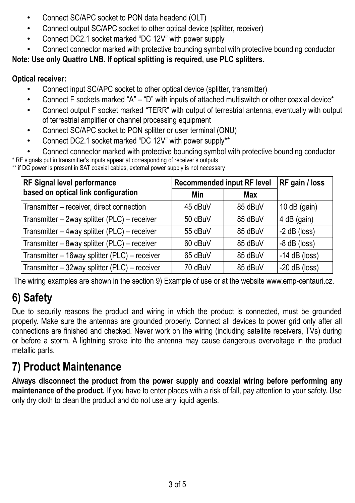- Connect SC/APC socket to PON data headend (OLT)
- Connect output SC/APC socket to other optical device (splitter, receiver)
- Connect DC2.1 socket marked "DC 12V" with power supply
- Connect connector marked with protective bounding symbol with protective bounding conductor

#### **Note: Use only Quattro LNB. If optical splitting is required, use PLC splitters.**

#### **Optical receiver:**

- Connect input SC/APC socket to other optical device (splitter, transmitter)
- Connect F sockets marked "A" "D" with inputs of attached multiswitch or other coaxial device\*
- Connect output F socket marked "TERR" with output of terrestrial antenna, eventually with output of terrestrial amplifier or channel processing equipment
- Connect SC/APC socket to PON splitter or user terminal (ONU)
- Connect DC2.1 socket marked "DC 12V" with power supply\*\*
- Connect connector marked with protective bounding symbol with protective bounding conductor

\* RF signals put in transmitter's inputs appear at corresponding of receiver's outputs

\*\* if DC power is present in SAT coaxial cables, external power supply is not necessary

| RF Signal level performance                   | <b>Recommended input RF level</b> | RF gain / loss |                 |
|-----------------------------------------------|-----------------------------------|----------------|-----------------|
| based on optical link configuration           | Min                               | Max            |                 |
| Transmitter - receiver, direct connection     | 45 dBuV                           | 85 dBuV        | 10 $dB$ (gain)  |
| Transmitter - 2way splitter (PLC) - receiver  | 50 dBuV                           | 85 dBuV        | 4 dB (gain)     |
| Transmitter - 4way splitter (PLC) - receiver  | 55 dBuV                           | 85 dBuV        | $-2$ dB (loss)  |
| Transmitter - 8way splitter (PLC) - receiver  | 60 dBuV                           | 85 dBuV        | $-8$ dB (loss)  |
| Transmitter - 16way splitter (PLC) - receiver | 65 dBuV                           | 85 dBuV        | $-14$ dB (loss) |
| Transmitter - 32way splitter (PLC) - receiver | 70 dBuV                           | 85 dBuV        | $-20$ dB (loss) |

The wiring examples are shown in the section 9) Example of use or at the website www.emp-centauri.cz.

# **6) Safety**

Due to security reasons the product and wiring in which the product is connected, must be grounded properly. Make sure the antennas are grounded properly. Connect all devices to power grid only after all connections are finished and checked. Never work on the wiring (including satellite receivers, TVs) during or before a storm. A lightning stroke into the antenna may cause dangerous overvoltage in the product metallic parts.

# **7) Product Maintenance**

**Always disconnect the product from the power supply and coaxial wiring before performing any maintenance of the product.** If you have to enter places with a risk of fall, pay attention to your safety. Use only dry cloth to clean the product and do not use any liquid agents.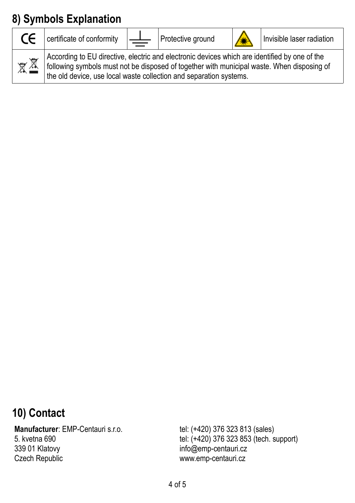# **8) Symbols Explanation**

| $\epsilon$ | certificate of conformity                                                                                                                                                                                                                                         | $\perp$ | Protective ground | Invisible laser radiation |
|------------|-------------------------------------------------------------------------------------------------------------------------------------------------------------------------------------------------------------------------------------------------------------------|---------|-------------------|---------------------------|
| 図图         | According to EU directive, electric and electronic devices which are identified by one of the<br>following symbols must not be disposed of together with municipal waste. When disposing of<br>the old device, use local waste collection and separation systems. |         |                   |                           |

## **10) Contact**

**Manufacturer**: EMP-Centauri s.r.o. 5. kvetna 690 339 01 Klatovy Czech Republic

tel: (+420) 376 323 813 (sales) tel: (+420) 376 323 853 (tech. support) info@emp-centauri.cz www.emp-centauri.cz